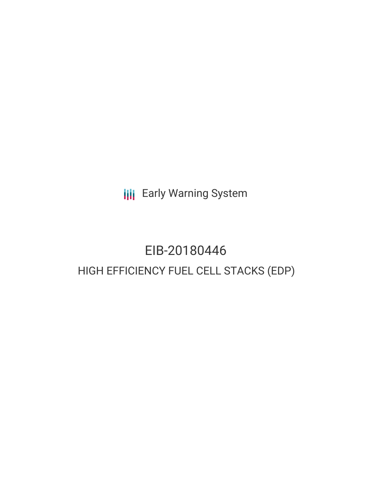**III** Early Warning System

# EIB-20180446 HIGH EFFICIENCY FUEL CELL STACKS (EDP)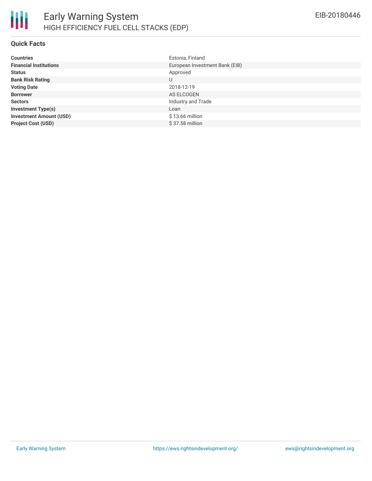

#### **Quick Facts**

| <b>Countries</b>               | Estonia, Finland               |
|--------------------------------|--------------------------------|
| <b>Financial Institutions</b>  | European Investment Bank (EIB) |
| <b>Status</b>                  | Approved                       |
| <b>Bank Risk Rating</b>        | U                              |
| <b>Voting Date</b>             | 2018-12-19                     |
| <b>Borrower</b>                | AS ELCOGEN                     |
| <b>Sectors</b>                 | Industry and Trade             |
| <b>Investment Type(s)</b>      | Loan                           |
| <b>Investment Amount (USD)</b> | $$13.66$ million               |
| <b>Project Cost (USD)</b>      | \$37.58 million                |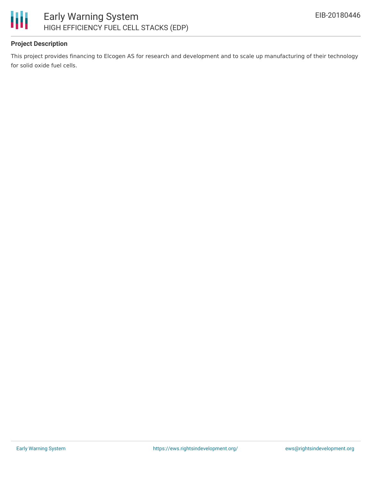

# **Project Description**

This project provides financing to Elcogen AS for research and development and to scale up manufacturing of their technology for solid oxide fuel cells.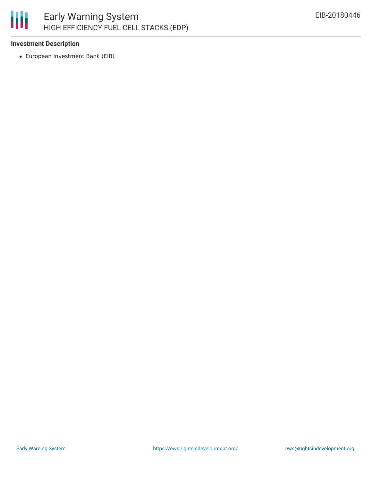## 圃 Early Warning System HIGH EFFICIENCY FUEL CELL STACKS (EDP)

#### **Investment Description**

European Investment Bank (EIB)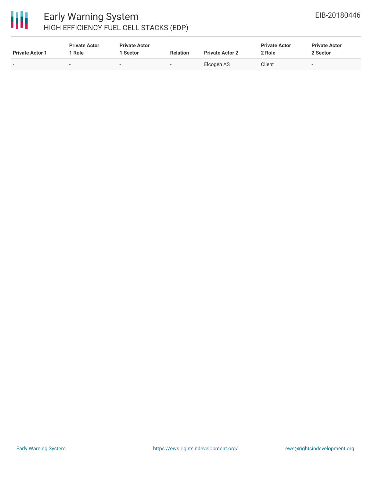

# Early Warning System HIGH EFFICIENCY FUEL CELL STACKS (EDP)

| <b>Private Actor 1</b>   | <b>Private Actor</b><br>Role | <b>Private Actor</b><br>Sector | <b>Relation</b> | <b>Private Actor 2</b> | <b>Private Actor</b><br>2 Role | <b>Private Actor</b><br>2 Sector |
|--------------------------|------------------------------|--------------------------------|-----------------|------------------------|--------------------------------|----------------------------------|
| $\overline{\phantom{0}}$ |                              | $\sim$                         | $\sim$          | Elcogen AS             | Client                         | $\overline{\phantom{a}}$         |